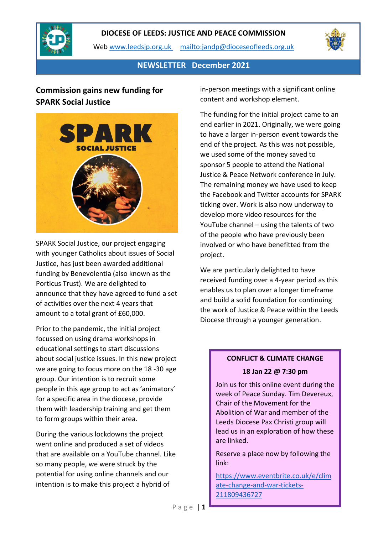

Web [www.leedsjp.org.uk](http://www.leedsjp.org.uk/) <mailto:jandp@dioceseofleeds.org.uk>



**NEWSLETTER December 2021**

# **Commission gains new funding for SPARK Social Justice**



SPARK Social Justice, our project engaging with younger Catholics about issues of Social Justice, has just been awarded additional funding by Benevolentia (also known as the Porticus Trust). We are delighted to announce that they have agreed to fund a set of activities over the next 4 years that amount to a total grant of £60,000.

Prior to the pandemic, the initial project focussed on using drama workshops in educational settings to start discussions about social justice issues. In this new project we are going to focus more on the 18 -30 age group. Our intention is to recruit some people in this age group to act as 'animators' for a specific area in the diocese, provide them with leadership training and get them to form groups within their area.

During the various lockdowns the project went online and produced a set of videos that are available on a YouTube channel. Like so many people, we were struck by the potential for using online channels and our intention is to make this project a hybrid of

in-person meetings with a significant online content and workshop element.

The funding for the initial project came to an end earlier in 2021. Originally, we were going to have a larger in-person event towards the end of the project. As this was not possible, we used some of the money saved to sponsor 5 people to attend the National Justice & Peace Network conference in July. The remaining money we have used to keep the Facebook and Twitter accounts for SPARK ticking over. Work is also now underway to develop more video resources for the YouTube channel – using the talents of two of the people who have previously been involved or who have benefitted from the project.

We are particularly delighted to have received funding over a 4-year period as this enables us to plan over a longer timeframe and build a solid foundation for continuing the work of Justice & Peace within the Leeds Diocese through a younger generation.

# **CONFLICT & CLIMATE CHANGE**

#### **18 Jan 22 @ 7:30 pm**

Join us for this online event during the week of Peace Sunday. Tim Devereux, Chair of the Movement for the Abolition of War and member of the Leeds Diocese Pax Christi group will lead us in an exploration of how these are linked.

Reserve a place now by following the link:

[https://www.eventbrite.co.uk/e/clim](https://www.eventbrite.co.uk/e/climate-change-and-war-tickets-211809436727) [ate-change-and-war-tickets-](https://www.eventbrite.co.uk/e/climate-change-and-war-tickets-211809436727)[211809436727](https://www.eventbrite.co.uk/e/climate-change-and-war-tickets-211809436727)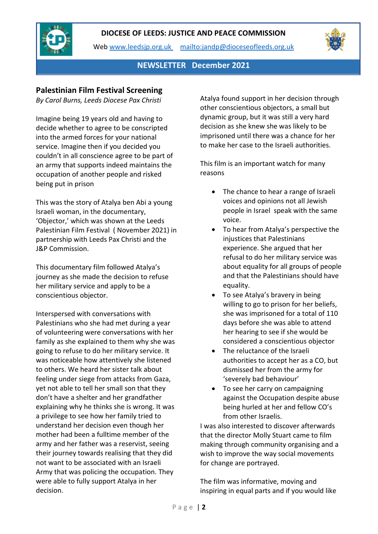

Web [www.leedsjp.org.uk](http://www.leedsjp.org.uk/) <mailto:jandp@dioceseofleeds.org.uk>



**NEWSLETTER December 2021**

## **Palestinian Film Festival Screening**

*By Carol Burns, Leeds Diocese Pax Christi*

Imagine being 19 years old and having to decide whether to agree to be conscripted into the armed forces for your national service. Imagine then if you decided you couldn't in all conscience agree to be part of an army that supports indeed maintains the occupation of another people and risked being put in prison

This was the story of Atalya ben Abi a young Israeli woman, in the documentary, 'Objector,' which was shown at the Leeds Palestinian Film Festival ( November 2021) in partnership with Leeds Pax Christi and the J&P Commission.

This documentary film followed Atalya's journey as she made the decision to refuse her military service and apply to be a conscientious objector.

Interspersed with conversations with Palestinians who she had met during a year of volunteering were conversations with her family as she explained to them why she was going to refuse to do her military service. It was noticeable how attentively she listened to others. We heard her sister talk about feeling under siege from attacks from Gaza, yet not able to tell her small son that they don't have a shelter and her grandfather explaining why he thinks she is wrong. It was a privilege to see how her family tried to understand her decision even though her mother had been a fulltime member of the army and her father was a reservist, seeing their journey towards realising that they did not want to be associated with an Israeli Army that was policing the occupation. They were able to fully support Atalya in her decision.

Atalya found support in her decision through other conscientious objectors, a small but dynamic group, but it was still a very hard decision as she knew she was likely to be imprisoned until there was a chance for her to make her case to the Israeli authorities.

This film is an important watch for many reasons

- The chance to hear a range of Israeli voices and opinions not all Jewish people in Israel speak with the same voice.
- To hear from Atalya's perspective the injustices that Palestinians experience. She argued that her refusal to do her military service was about equality for all groups of people and that the Palestinians should have equality.
- To see Atalya's bravery in being willing to go to prison for her beliefs, she was imprisoned for a total of 110 days before she was able to attend her hearing to see if she would be considered a conscientious objector
- The reluctance of the Israeli authorities to accept her as a CO, but dismissed her from the army for 'severely bad behaviour'
- To see her carry on campaigning against the Occupation despite abuse being hurled at her and fellow CO's from other Israelis.

I was also interested to discover afterwards that the director Molly Stuart came to film making through community organising and a wish to improve the way social movements for change are portrayed.

The film was informative, moving and inspiring in equal parts and if you would like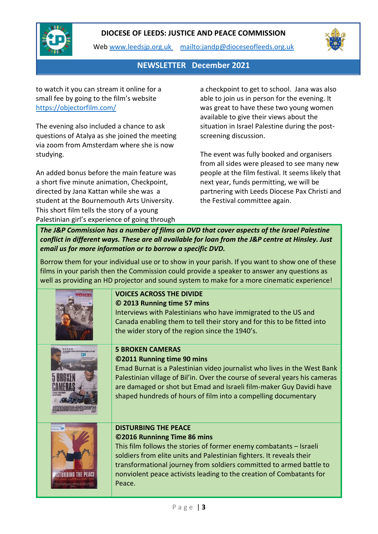

Web [www.leedsjp.org.uk](http://www.leedsjp.org.uk/) <mailto:jandp@dioceseofleeds.org.uk>



**NEWSLETTER December 2021**

to watch it you can stream it online for a small fee by going to the film's website <https://objectorfilm.com/>

The evening also included a chance to ask questions of Atalya as she joined the meeting via zoom from Amsterdam where she is now studying.

An added bonus before the main feature was a short five minute animation, Checkpoint, directed by Jana Kattan while she was a student at the Bournemouth Arts University. This short film tells the story of a young Palestinian girl's experience of going through

a checkpoint to get to school. Jana was also able to join us in person for the evening. It was great to have these two young women available to give their views about the situation in Israel Palestine during the postscreening discussion.

The event was fully booked and organisers from all sides were pleased to see many new people at the film festival. It seems likely that next year, funds permitting, we will be partnering with Leeds Diocese Pax Christi and the Festival committee again.

*The J&P Commission has a number of films on DVD that cover aspects of the Israel Palestine conflict in different ways. These are all available for loan from the J&P centre at Hinsley. Just email us for more information or to borrow a specific DVD.*

Borrow them for your individual use or to show in your parish. If you want to show one of these films in your parish then the Commission could provide a speaker to answer any questions as well as providing an HD projector and sound system to make for a more cinematic experience!

| <b>VOICES ACROSS THE DIVIDE</b><br>© 2013 Running time 57 mins<br>Interviews with Palestinians who have immigrated to the US and<br>Canada enabling them to tell their story and for this to be fitted into<br>the wider story of the region since the 1940's.                                                                                                    |
|-------------------------------------------------------------------------------------------------------------------------------------------------------------------------------------------------------------------------------------------------------------------------------------------------------------------------------------------------------------------|
| <b>5 BROKEN CAMERAS</b><br>©2011 Running time 90 mins<br>Emad Burnat is a Palestinian video journalist who lives in the West Bank<br>Palestinian village of Bil'in. Over the course of several years his cameras<br>are damaged or shot but Emad and Israeli film-maker Guy Davidi have<br>shaped hundreds of hours of film into a compelling documentary         |
| <b>DISTURBING THE PEACE</b><br>©2016 Runninng Time 86 mins<br>This film follows the stories of former enemy combatants - Israeli<br>soldiers from elite units and Palestinian fighters. It reveals their<br>transformational journey from soldiers committed to armed battle to<br>nonviolent peace activists leading to the creation of Combatants for<br>Peace. |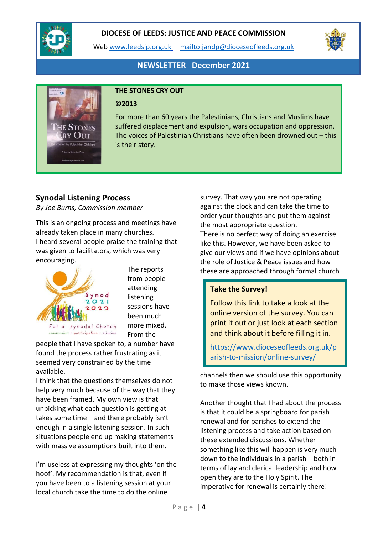

Web [www.leedsjp.org.uk](http://www.leedsjp.org.uk/) <mailto:jandp@dioceseofleeds.org.uk>



# **NEWSLETTER December 2021**



#### **THE STONES CRY OUT**

#### **©2013**

For more than 60 years the Palestinians, Christians and Muslims have suffered displacement and expulsion, wars occupation and oppression. The voices of Palestinian Christians have often been drowned out – this is their story.

## **Synodal Listening Process**

*By Joe Burns, Commission member*

This is an ongoing process and meetings have already taken place in many churches. I heard several people praise the training that was given to facilitators, which was very encouraging.



The reports from people attending listening sessions have been much more mixed. From the

communion | participation | mission

people that I have spoken to, a number have found the process rather frustrating as it seemed very constrained by the time available.

I think that the questions themselves do not help very much because of the way that they have been framed. My own view is that unpicking what each question is getting at takes some time – and there probably isn't enough in a single listening session. In such situations people end up making statements with massive assumptions built into them.

I'm useless at expressing my thoughts 'on the hoof'. My recommendation is that, even if you have been to a listening session at your local church take the time to do the online

survey. That way you are not operating against the clock and can take the time to order your thoughts and put them against the most appropriate question. There is no perfect way of doing an exercise like this. However, we have been asked to give our views and if we have opinions about the role of Justice & Peace issues and how these are approached through formal church

#### **Take the Survey!**

Follow this link to take a look at the online version of the survey. You can print it out or just look at each section and think about it before filling it in.

[https://www.dioceseofleeds.org.uk/p](https://www.dioceseofleeds.org.uk/parish-to-mission/online-survey/) [arish-to-mission/online-survey/](https://www.dioceseofleeds.org.uk/parish-to-mission/online-survey/)

channels then we should use this opportunity to make those views known.

Another thought that I had about the process is that it could be a springboard for parish renewal and for parishes to extend the listening process and take action based on these extended discussions. Whether something like this will happen is very much down to the individuals in a parish – both in terms of lay and clerical leadership and how open they are to the Holy Spirit. The imperative for renewal is certainly there!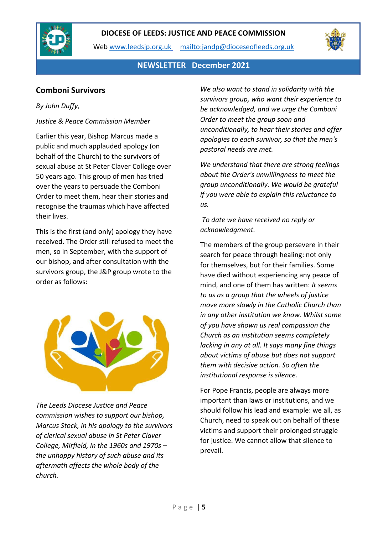

Web [www.leedsjp.org.uk](http://www.leedsjp.org.uk/) <mailto:jandp@dioceseofleeds.org.uk>



**NEWSLETTER December 2021**

# **Comboni Survivors**

### *By John Duffy,*

### *Justice & Peace Commission Member*

Earlier this year, Bishop Marcus made a public and much applauded apology (on behalf of the Church) to the survivors of sexual abuse at St Peter Claver College over 50 years ago. This group of men has tried over the years to persuade the Comboni Order to meet them, hear their stories and recognise the traumas which have affected their lives.

This is the first (and only) apology they have received. The Order still refused to meet the men, so in September, with the support of our bishop, and after consultation with the survivors group, the J&P group wrote to the order as follows:



*The Leeds Diocese Justice and Peace commission wishes to support our bishop, Marcus Stock, in his apology to the survivors of clerical sexual abuse in St Peter Claver College, Mirfield, in the 1960s and 1970s – the unhappy history of such abuse and its aftermath affects the whole body of the church.* 

*We also want to stand in solidarity with the survivors group, who want their experience to be acknowledged, and we urge the Comboni Order to meet the group soon and unconditionally, to hear their stories and offer apologies to each survivor, so that the men's pastoral needs are met.*

*We understand that there are strong feelings about the Order's unwillingness to meet the group unconditionally. We would be grateful if you were able to explain this reluctance to us.*

*To date we have received no reply or acknowledgment.* 

The members of the group persevere in their search for peace through healing: not only for themselves, but for their families. Some have died without experiencing any peace of mind, and one of them has written: *It seems to us as a group that the wheels of justice move more slowly in the Catholic Church than in any other institution we know. Whilst some of you have shown us real compassion the Church as an institution seems completely lacking in any at all. It says many fine things about victims of abuse but does not support them with decisive action. So often the institutional response is silence.* 

For Pope Francis, people are always more important than laws or institutions, and we should follow his lead and example: we all, as Church, need to speak out on behalf of these victims and support their prolonged struggle for justice. We cannot allow that silence to prevail.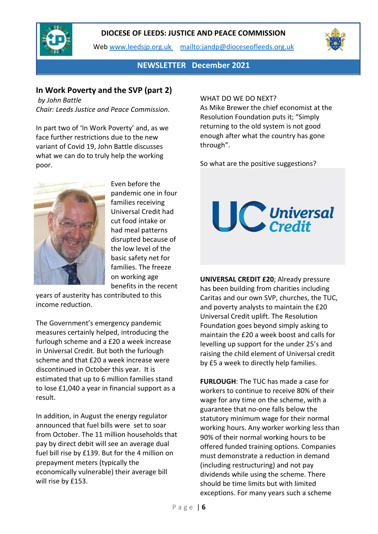

Web [www.leedsjp.org.uk](http://www.leedsjp.org.uk/) <mailto:jandp@dioceseofleeds.org.uk>



**NEWSLETTER December 2021**

### **In Work Poverty and the SVP (part 2)**

*by John Battle Chair: Leeds Justice and Peace Commission*.

In part two of 'In Work Poverty' and, as we face further restrictions due to the new variant of Covid 19, John Battle discusses what we can do to truly help the working poor.



Even before the pandemic one in four families receiving Universal Credit had cut food intake or had meal patterns disrupted because of the low level of the basic safety net for families. The freeze on working age benefits in the recent

years of austerity has contributed to this income reduction.

The Government's emergency pandemic measures certainly helped, introducing the furlough scheme and a £20 a week increase in Universal Credit. But both the furlough scheme and that £20 a week increase were discontinued in October this year. It is estimated that up to 6 million families stand to lose £1,040 a year in financial support as a result.

In addition, in August the energy regulator announced that fuel bills were set to soar from October. The 11 million households that pay by direct debit will see an average dual fuel bill rise by £139. But for the 4 million on prepayment meters (typically the economically vulnerable) their average bill will rise by £153.

#### WHAT DO WE DO NEXT?

As Mike Brewer the chief economist at the Resolution Foundation puts it; "Simply returning to the old system is not good enough after what the country has gone through".

So what are the positive suggestions?



**UNIVERSAL CREDIT £20**; Already pressure has been building from charities including Caritas and our own SVP, churches, the TUC, and poverty analysts to maintain the £20 Universal Credit uplift. The Resolution Foundation goes beyond simply asking to maintain the £20 a week boost and calls for levelling up support for the under 25's and raising the child element of Universal credit by £5 a week to directly help families.

**FURLOUGH**: The TUC has made a case for workers to continue to receive 80% of their wage for any time on the scheme, with a guarantee that no-one falls below the statutory minimum wage for their normal working hours. Any worker working less than 90% of their normal working hours to be offered funded training options. Companies must demonstrate a reduction in demand (including restructuring) and not pay dividends while using the scheme. There should be time limits but with limited exceptions. For many years such a scheme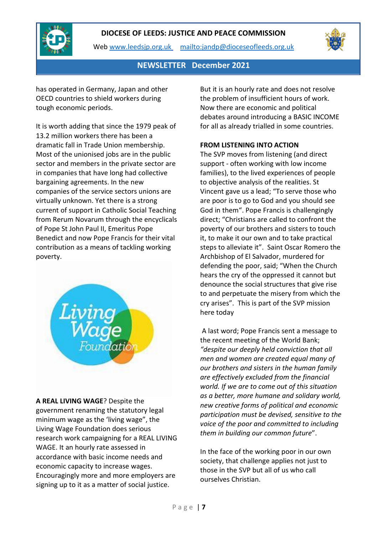

Web [www.leedsjp.org.uk](http://www.leedsjp.org.uk/) <mailto:jandp@dioceseofleeds.org.uk>



### **NEWSLETTER December 2021**

has operated in Germany, Japan and other OECD countries to shield workers during tough economic periods.

It is worth adding that since the 1979 peak of 13.2 million workers there has been a dramatic fall in Trade Union membership. Most of the unionised jobs are in the public sector and members in the private sector are in companies that have long had collective bargaining agreements. In the new companies of the service sectors unions are virtually unknown. Yet there is a strong current of support in Catholic Social Teaching from Rerum Novarum through the encyclicals of Pope St John Paul II, Emeritus Pope Benedict and now Pope Francis for their vital contribution as a means of tackling working poverty.



**A REAL LIVING WAGE**? Despite the government renaming the statutory legal minimum wage as the 'living wage", the Living Wage Foundation does serious research work campaigning for a REAL LIVING WAGE. It an hourly rate assessed in accordance with basic income needs and economic capacity to increase wages. Encouragingly more and more employers are signing up to it as a matter of social justice.

But it is an hourly rate and does not resolve the problem of insufficient hours of work. Now there are economic and political debates around introducing a BASIC INCOME for all as already trialled in some countries.

#### **FROM LISTENING INTO ACTION**

The SVP moves from listening (and direct support - often working with low income families), to the lived experiences of people to objective analysis of the realities. St Vincent gave us a lead; "To serve those who are poor is to go to God and you should see God in them". Pope Francis is challengingly direct; "Christians are called to confront the poverty of our brothers and sisters to touch it, to make it our own and to take practical steps to alleviate it". Saint Oscar Romero the Archbishop of El Salvador, murdered for defending the poor, said; "When the Church hears the cry of the oppressed it cannot but denounce the social structures that give rise to and perpetuate the misery from which the cry arises". This is part of the SVP mission here today

A last word; Pope Francis sent a message to the recent meeting of the World Bank; *"despite our deeply held conviction that all men and women are created equal many of our brothers and sisters in the human family are effectively excluded from the financial world. If we are to come out of this situation as a better, more humane and solidary world, new creative forms of political and economic participation must be devised, sensitive to the voice of the poor and committed to including them in building our common future*".

In the face of the working poor in our own society, that challenge applies not just to those in the SVP but all of us who call ourselves Christian.